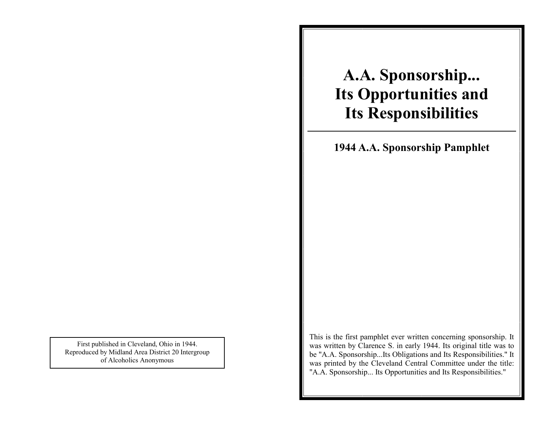First published in Cleveland, Ohio in 1944. Reproduced by Midland Area District 20 Intergroup of Alcoholics Anonymous

# **A.A. Sponsorship... Its Opportunities and Its Responsibilities**

# **1944 A.A. Sponsorship Pamphlet**

This is the first pamphlet ever written concerning sponsorship. It was written by Clarence S. in early 1944. Its original title was to be "A.A. Sponsorship...Its Obligations and Its Responsibilities." It was printed by the Cleveland Central Committee under the title: "A.A. Sponsorship... Its Opportunities and Its Responsibilities."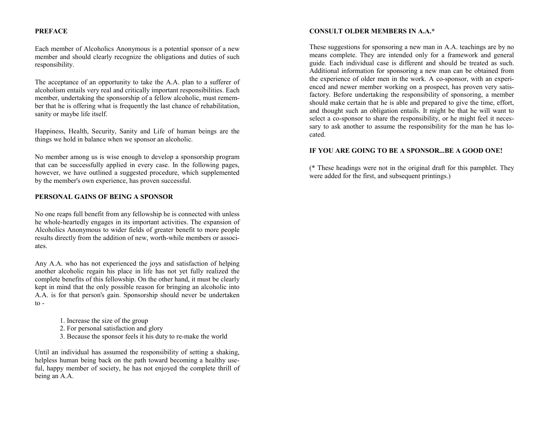#### **PREFACE**

Each member of Alcoholics Anonymous is a potential sponsor of a new member and should clearly recognize the obligations and duties of such responsibility.

The acceptance of an opportunity to take the A.A. plan to a sufferer of alcoholism entails very real and critically important responsibilities. Each member, undertaking the sponsorship of a fellow alcoholic, must remember that he is offering what is frequently the last chance of rehabilitation, sanity or maybe life itself.

Happiness, Health, Security, Sanity and Life of human beings are the things we hold in balance when we sponsor an alcoholic.

No member among us is wise enough to develop a sponsorship program that can be successfully applied in every case. In the following pages, however, we have outlined a suggested procedure, which supplemented by the member's own experience, has proven successful.

#### **PERSONAL GAINS OF BEING A SPONSOR**

No one reaps full benefit from any fellowship he is connected with unless he whole-heartedly engages in its important activities. The expansion of Alcoholics Anonymous to wider fields of greater benefit to more people results directly from the addition of new, worth-while members or associates.

Any A.A. who has not experienced the joys and satisfaction of helping another alcoholic regain his place in life has not yet fully realized the complete benefits of this fellowship. On the other hand, it must be clearly kept in mind that the only possible reason for bringing an alcoholic into A.A. is for that person's gain. Sponsorship should never be undertaken to -

- 1. Increase the size of the group
- 2. For personal satisfaction and glory
- 3. Because the sponsor feels it his duty to re-make the world

Until an individual has assumed the responsibility of setting a shaking, helpless human being back on the path toward becoming a healthy useful, happy member of society, he has not enjoyed the complete thrill of being an A.A.

#### **CONSULT OLDER MEMBERS IN A.A.\***

These suggestions for sponsoring a new man in A.A. teachings are by no means complete. They are intended only for a framework and general guide. Each individual case is different and should be treated as such. Additional information for sponsoring a new man can be obtained from the experience of older men in the work. A co-sponsor, with an experienced and newer member working on a prospect, has proven very satisfactory. Before undertaking the responsibility of sponsoring, a member should make certain that he is able and prepared to give the time, effort, and thought such an obligation entails. It might be that he will want to select a co-sponsor to share the responsibility, or he might feel it necessary to ask another to assume the responsibility for the man he has located.

#### **IF YOU ARE GOING TO BE A SPONSOR...BE A GOOD ONE!**

(\* These headings were not in the original draft for this pamphlet. They were added for the first, and subsequent printings.)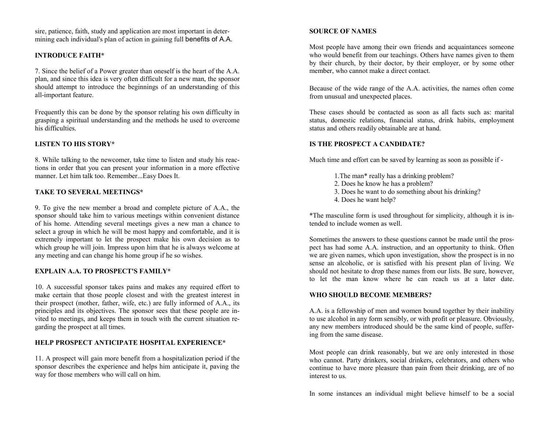sire, patience, faith, study and application are most important in determining each individual's plan of action in gaining full benefits of A.A.

### **INTRODUCE FAITH\***

7. Since the belief of a Power greater than oneself is the heart of the A.A. plan, and since this idea is very often difficult for a new man, the sponsor should attempt to introduce the beginnings of an understanding of this all-important feature.

Frequently this can be done by the sponsor relating his own difficulty in grasping a spiritual understanding and the methods he used to overcome his difficulties.

#### **LISTEN TO HIS STORY\***

8. While talking to the newcomer, take time to listen and study his reactions in order that you can present your information in a more effective manner. Let him talk too. Remember...Easy Does It.

#### **TAKE TO SEVERAL MEETINGS\***

9. To give the new member a broad and complete picture of A.A., the sponsor should take him to various meetings within convenient distance of his home. Attending several meetings gives a new man a chance to select a group in which he will be most happy and comfortable, and it is extremely important to let the prospect make his own decision as to which group he will join. Impress upon him that he is always welcome at any meeting and can change his home group if he so wishes.

#### **EXPLAIN A.A. TO PROSPECT'S FAMILY\***

10. A successful sponsor takes pains and makes any required effort to make certain that those people closest and with the greatest interest in their prospect (mother, father, wife, etc.) are fully informed of A.A., its principles and its objectives. The sponsor sees that these people are invited to meetings, and keeps them in touch with the current situation regarding the prospect at all times.

#### **HELP PROSPECT ANTICIPATE HOSPITAL EXPERIENCE\***

11. A prospect will gain more benefit from a hospitalization period if the sponsor describes the experience and helps him anticipate it, paving the way for those members who will call on him.

#### **SOURCE OF NAMES**

Most people have among their own friends and acquaintances someone who would benefit from our teachings. Others have names given to them by their church, by their doctor, by their employer, or by some other member, who cannot make a direct contact.

Because of the wide range of the A.A. activities, the names often come from unusual and unexpected places.

These cases should be contacted as soon as all facts such as: marital status, domestic relations, financial status, drink habits, employment status and others readily obtainable are at hand.

#### **IS THE PROSPECT A CANDIDATE?**

Much time and effort can be saved by learning as soon as possible if -

- 1.The man\* really has a drinking problem?
- 2. Does he know he has a problem?
- 3. Does he want to do something about his drinking?
- 4. Does he want help?

\*The masculine form is used throughout for simplicity, although it is intended to include women as well.

Sometimes the answers to these questions cannot be made until the prospect has had some A.A. instruction, and an opportunity to think. Often we are given names, which upon investigation, show the prospect is in no sense an alcoholic, or is satisfied with his present plan of living. We should not hesitate to drop these names from our lists. Be sure, however, to let the man know where he can reach us at a later date.

#### **WHO SHOULD BECOME MEMBERS?**

A.A. is a fellowship of men and women bound together by their inability to use alcohol in any form sensibly, or with profit or pleasure. Obviously, any new members introduced should be the same kind of people, suffering from the same disease.

Most people can drink reasonably, but we are only interested in those who cannot. Party drinkers, social drinkers, celebrators, and others who continue to have more pleasure than pain from their drinking, are of no interest to us.

In some instances an individual might believe himself to be a social